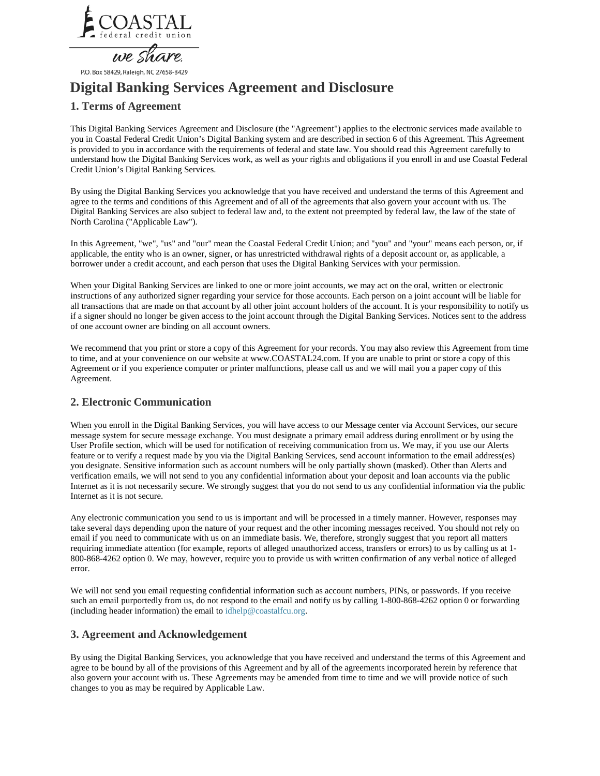

we share.

P.O. Box 58429, Raleigh, NC 27658-8429

# **Digital Banking Services Agreement and Disclosure**

# **1. Terms of Agreement**

This Digital Banking Services Agreement and Disclosure (the "Agreement") applies to the electronic services made available to you in Coastal Federal Credit Union's Digital Banking system and are described in section 6 of this Agreement. This Agreement is provided to you in accordance with the requirements of federal and state law. You should read this Agreement carefully to understand how the Digital Banking Services work, as well as your rights and obligations if you enroll in and use Coastal Federal Credit Union's Digital Banking Services.

By using the Digital Banking Services you acknowledge that you have received and understand the terms of this Agreement and agree to the terms and conditions of this Agreement and of all of the agreements that also govern your account with us. The Digital Banking Services are also subject to federal law and, to the extent not preempted by federal law, the law of the state of North Carolina ("Applicable Law").

In this Agreement, "we", "us" and "our" mean the Coastal Federal Credit Union; and "you" and "your" means each person, or, if applicable, the entity who is an owner, signer, or has unrestricted withdrawal rights of a deposit account or, as applicable, a borrower under a credit account, and each person that uses the Digital Banking Services with your permission.

When your Digital Banking Services are linked to one or more joint accounts, we may act on the oral, written or electronic instructions of any authorized signer regarding your service for those accounts. Each person on a joint account will be liable for all transactions that are made on that account by all other joint account holders of the account. It is your responsibility to notify us if a signer should no longer be given access to the joint account through the Digital Banking Services. Notices sent to the address of one account owner are binding on all account owners.

We recommend that you print or store a copy of this Agreement for your records. You may also review this Agreement from time to time, and at your convenience on our website a[t www.COASTAL24.com.](http://www.coastal24.com/) If you are unable to print or store a copy of this Agreement or if you experience computer or printer malfunctions, please call us and we will mail you a paper copy of this Agreement.

# **2. Electronic Communication**

When you enroll in the Digital Banking Services, you will have access to our Message center via Account Services, our secure message system for secure message exchange. You must designate a primary email address during enrollment or by using the User Profile section, which will be used for notification of receiving communication from us. We may, if you use our Alerts feature or to verify a request made by you via the Digital Banking Services, send account information to the email address(es) you designate. Sensitive information such as account numbers will be only partially shown (masked). Other than Alerts and verification emails, we will not send to you any confidential information about your deposit and loan accounts via the public Internet as it is not necessarily secure. We strongly suggest that you do not send to us any confidential information via the public Internet as it is not secure.

Any electronic communication you send to us is important and will be processed in a timely manner. However, responses may take several days depending upon the nature of your request and the other incoming messages received. You should not rely on email if you need to communicate with us on an immediate basis. We, therefore, strongly suggest that you report all matters requiring immediate attention (for example, reports of alleged unauthorized access, transfers or errors) to us by calling us at 1- 800-868-4262 option 0. We may, however, require you to provide us with written confirmation of any verbal notice of alleged error.

We will not send you email requesting confidential information such as account numbers, PINs, or passwords. If you receive such an email purportedly from us, do not respond to the email and notify us by calling 1-800-868-4262 option 0 or forwarding (including header information) the email to [idhelp@coastalfcu.org.](mailto:idhelp@coastalfcu.org)

# **3. Agreement and Acknowledgement**

By using the Digital Banking Services, you acknowledge that you have received and understand the terms of this Agreement and agree to be bound by all of the provisions of this Agreement and by all of the agreements incorporated herein by reference that also govern your account with us. These Agreements may be amended from time to time and we will provide notice of such changes to you as may be required by Applicable Law.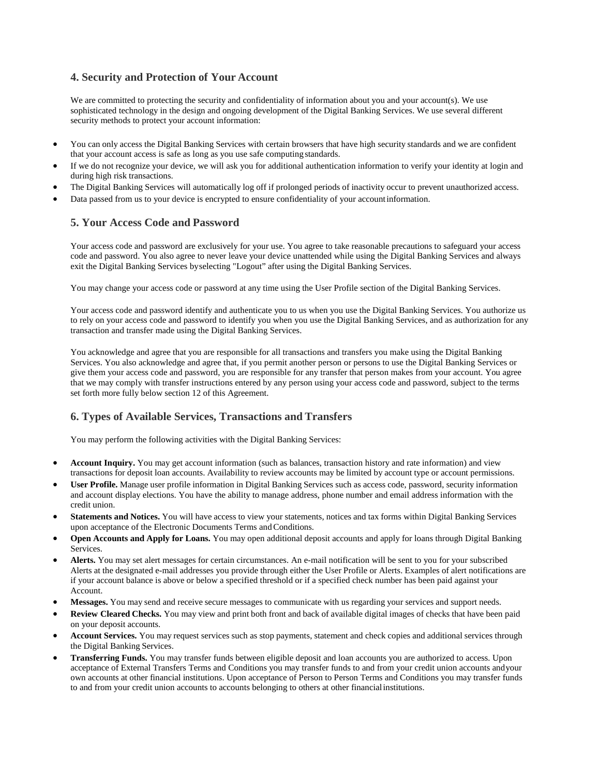### **4. Security and Protection of Your Account**

We are committed to protecting the security and confidentiality of information about you and your account(s). We use sophisticated technology in the design and ongoing development of the Digital Banking Services. We use several different security methods to protect your account information:

- You can only access the Digital Banking Services with certain browsers that have high security standards and we are confident that your account access is safe as long as you use safe computing standards.
- If we do not recognize your device, we will ask you for additional authentication information to verify your identity at login and during high risk transactions.
- The Digital Banking Services will automatically log off if prolonged periods of inactivity occur to prevent unauthorized access.
- Data passed from us to your device is encrypted to ensure confidentiality of your accountinformation.

### **5. Your Access Code and Password**

Your access code and password are exclusively for your use. You agree to take reasonable precautions to safeguard your access code and password. You also agree to never leave your device unattended while using the Digital Banking Services and always exit the Digital Banking Services byselecting "Logout" after using the Digital Banking Services.

You may change your access code or password at any time using the User Profile section of the Digital Banking Services.

Your access code and password identify and authenticate you to us when you use the Digital Banking Services. You authorize us to rely on your access code and password to identify you when you use the Digital Banking Services, and as authorization for any transaction and transfer made using the Digital Banking Services.

You acknowledge and agree that you are responsible for all transactions and transfers you make using the Digital Banking Services. You also acknowledge and agree that, if you permit another person or persons to use the Digital Banking Services or give them your access code and password, you are responsible for any transfer that person makes from your account. You agree that we may comply with transfer instructions entered by any person using your access code and password, subject to the terms set forth more fully below section 12 of this Agreement.

# **6. Types of Available Services, Transactions and Transfers**

You may perform the following activities with the Digital Banking Services:

- **Account Inquiry.** You may get account information (such as balances, transaction history and rate information) and view transactions for deposit loan accounts. Availability to review accounts may be limited by account type or account permissions.
- **User Profile.** Manage user profile information in Digital Banking Services such as access code, password, security information and account display elections. You have the ability to manage address, phone number and email address information with the credit union.
- **Statements and Notices.** You will have access to view your statements, notices and tax forms within Digital Banking Services upon acceptance of the Electronic Documents Terms and Conditions.
- **Open Accounts and Apply for Loans.** You may open additional deposit accounts and apply for loans through Digital Banking Services.
- **Alerts.** You may set alert messages for certain circumstances. An e-mail notification will be sent to you for your subscribed Alerts at the designated e-mail addresses you provide through either the User Profile or Alerts. Examples of alert notifications are if your account balance is above or below a specified threshold or if a specified check number has been paid against your Account.
- **Messages.** You may send and receive secure messages to communicate with us regarding your services and support needs.
- **Review Cleared Checks.** You may view and print both front and back of available digital images of checks that have been paid on your deposit accounts.
- **Account Services.** You may request services such as stop payments, statement and check copies and additional services through the Digital Banking Services.
- **Transferring Funds.** You may transfer funds between eligible deposit and loan accounts you are authorized to access. Upon acceptance of External Transfers Terms and Conditions you may transfer funds to and from your credit union accounts andyour own accounts at other financial institutions. Upon acceptance of Person to Person Terms and Conditions you may transfer funds to and from your credit union accounts to accounts belonging to others at other financialinstitutions.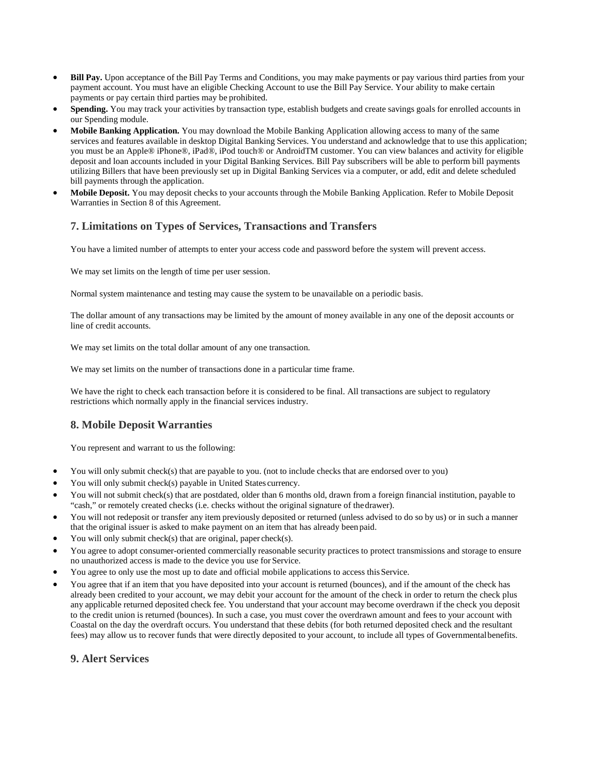- **Bill Pay.** Upon acceptance of the Bill Pay Terms and Conditions, you may make payments or pay various third parties from your payment account. You must have an eligible Checking Account to use the Bill Pay Service. Your ability to make certain payments or pay certain third parties may be prohibited.
- **Spending.** You may track your activities by transaction type, establish budgets and create savings goals for enrolled accounts in our Spending module.
- **Mobile Banking Application.** You may download the Mobile Banking Application allowing access to many of the same services and features available in desktop Digital Banking Services. You understand and acknowledge that to use this application; you must be an Apple® iPhone®, iPad®, iPod touch® or AndroidTM customer. You can view balances and activity for eligible deposit and loan accounts included in your Digital Banking Services. Bill Pay subscribers will be able to perform bill payments utilizing Billers that have been previously set up in Digital Banking Services via a computer, or add, edit and delete scheduled bill payments through the application.
- **Mobile Deposit.** You may deposit checks to your accounts through the Mobile Banking Application. Refer to Mobile Deposit Warranties in Section 8 of this Agreement.

# **7. Limitations on Types of Services, Transactions and Transfers**

You have a limited number of attempts to enter your access code and password before the system will prevent access.

We may set limits on the length of time per user session.

Normal system maintenance and testing may cause the system to be unavailable on a periodic basis.

The dollar amount of any transactions may be limited by the amount of money available in any one of the deposit accounts or line of credit accounts.

We may set limits on the total dollar amount of any one transaction.

We may set limits on the number of transactions done in a particular time frame.

We have the right to check each transaction before it is considered to be final. All transactions are subject to regulatory restrictions which normally apply in the financial services industry.

# **8. Mobile Deposit Warranties**

You represent and warrant to us the following:

- You will only submit check(s) that are payable to you. (not to include checks that are endorsed over to you)
- You will only submit check(s) payable in United States currency.
- You will not submit check(s) that are postdated, older than 6 months old, drawn from a foreign financial institution, payable to "cash," or remotely created checks (i.e. checks without the original signature of thedrawer).
- You will not redeposit or transfer any item previously deposited or returned (unless advised to do so by us) or in such a manner that the original issuer is asked to make payment on an item that has already been paid.
- You will only submit check(s) that are original, paper check(s).
- You agree to adopt consumer-oriented commercially reasonable security practices to protect transmissions and storage to ensure no unauthorized access is made to the device you use for Service.
- You agree to only use the most up to date and official mobile applications to access thisService.
- You agree that if an item that you have deposited into your account is returned (bounces), and if the amount of the check has already been credited to your account, we may debit your account for the amount of the check in order to return the check plus any applicable returned deposited check fee. You understand that your account may become overdrawn if the check you deposit to the credit union is returned (bounces). In such a case, you must cover the overdrawn amount and fees to your account with Coastal on the day the overdraft occurs. You understand that these debits (for both returned deposited check and the resultant fees) may allow us to recover funds that were directly deposited to your account, to include all types of Governmentalbenefits.

#### **9. Alert Services**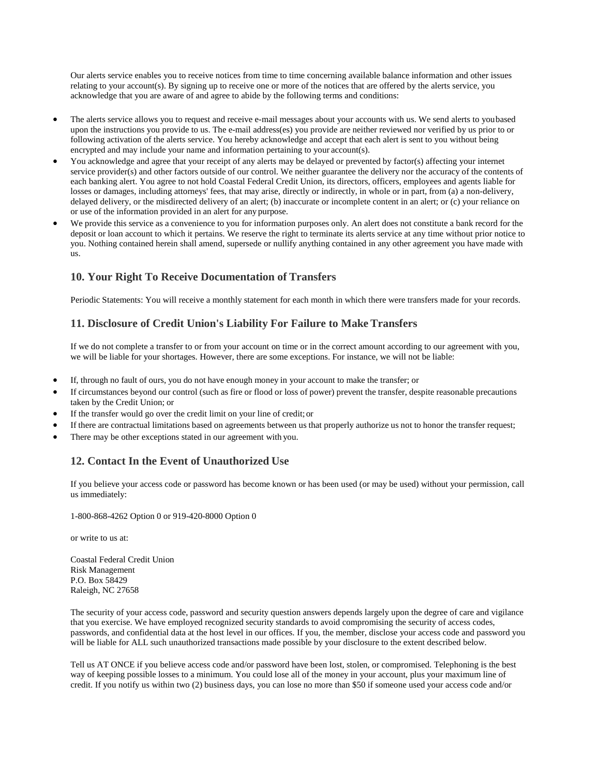Our alerts service enables you to receive notices from time to time concerning available balance information and other issues relating to your account(s). By signing up to receive one or more of the notices that are offered by the alerts service, you acknowledge that you are aware of and agree to abide by the following terms and conditions:

- The alerts service allows you to request and receive e-mail messages about your accounts with us. We send alerts to youbased upon the instructions you provide to us. The e-mail address(es) you provide are neither reviewed nor verified by us prior to or following activation of the alerts service. You hereby acknowledge and accept that each alert is sent to you without being encrypted and may include your name and information pertaining to your account(s).
- You acknowledge and agree that your receipt of any alerts may be delayed or prevented by factor(s) affecting your internet service provider(s) and other factors outside of our control. We neither guarantee the delivery nor the accuracy of the contents of each banking alert. You agree to not hold Coastal Federal Credit Union, its directors, officers, employees and agents liable for losses or damages, including attorneys' fees, that may arise, directly or indirectly, in whole or in part, from (a) a non-delivery, delayed delivery, or the misdirected delivery of an alert; (b) inaccurate or incomplete content in an alert; or (c) your reliance on or use of the information provided in an alert for any purpose.
- We provide this service as a convenience to you for information purposes only. An alert does not constitute a bank record for the deposit or loan account to which it pertains. We reserve the right to terminate its alerts service at any time without prior notice to you. Nothing contained herein shall amend, supersede or nullify anything contained in any other agreement you have made with us.

# **10. Your Right To Receive Documentation of Transfers**

Periodic Statements: You will receive a monthly statement for each month in which there were transfers made for your records.

# **11. Disclosure of Credit Union's Liability For Failure to Make Transfers**

If we do not complete a transfer to or from your account on time or in the correct amount according to our agreement with you, we will be liable for your shortages. However, there are some exceptions. For instance, we will not be liable:

- If, through no fault of ours, you do not have enough money in your account to make the transfer; or
- If circumstances beyond our control (such as fire or flood or loss of power) prevent the transfer, despite reasonable precautions taken by the Credit Union; or
- If the transfer would go over the credit limit on your line of credit; or
- If there are contractual limitations based on agreements between us that properly authorize us not to honor the transfer request;
- There may be other exceptions stated in our agreement with you.

# **12. Contact In the Event of Unauthorized Use**

If you believe your access code or password has become known or has been used (or may be used) without your permission, call us immediately:

1-800-868-4262 Option 0 or 919-420-8000 Option 0

or write to us at:

Coastal Federal Credit Union Risk Management P.O. Box 58429 Raleigh, NC 27658

The security of your access code, password and security question answers depends largely upon the degree of care and vigilance that you exercise. We have employed recognized security standards to avoid compromising the security of access codes, passwords, and confidential data at the host level in our offices. If you, the member, disclose your access code and password you will be liable for ALL such unauthorized transactions made possible by your disclosure to the extent described below.

Tell us AT ONCE if you believe access code and/or password have been lost, stolen, or compromised. Telephoning is the best way of keeping possible losses to a minimum. You could lose all of the money in your account, plus your maximum line of credit. If you notify us within two (2) business days, you can lose no more than \$50 if someone used your access code and/or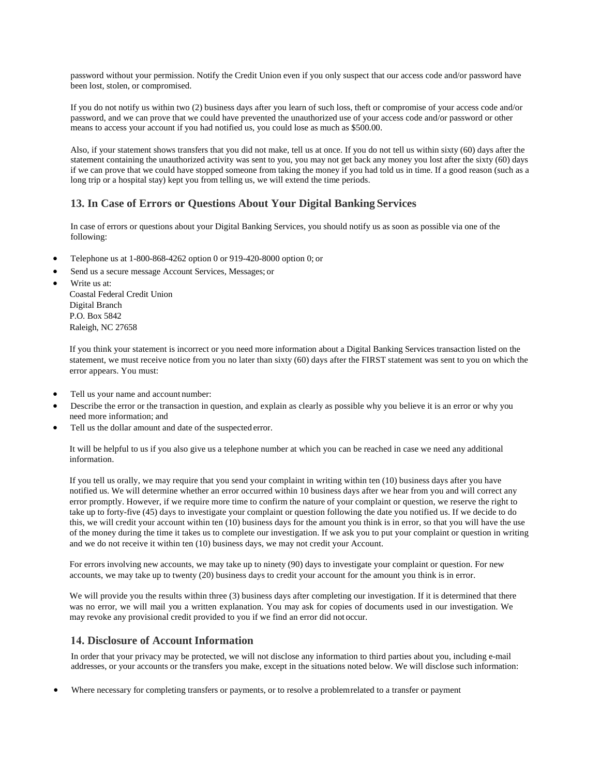password without your permission. Notify the Credit Union even if you only suspect that our access code and/or password have been lost, stolen, or compromised.

If you do not notify us within two (2) business days after you learn of such loss, theft or compromise of your access code and/or password, and we can prove that we could have prevented the unauthorized use of your access code and/or password or other means to access your account if you had notified us, you could lose as much as \$500.00.

Also, if your statement shows transfers that you did not make, tell us at once. If you do not tell us within sixty (60) days after the statement containing the unauthorized activity was sent to you, you may not get back any money you lost after the sixty (60) days if we can prove that we could have stopped someone from taking the money if you had told us in time. If a good reason (such as a long trip or a hospital stay) kept you from telling us, we will extend the time periods.

### **13. In Case of Errors or Questions About Your Digital Banking Services**

In case of errors or questions about your Digital Banking Services, you should notify us as soon as possible via one of the following:

- Telephone us at 1-800-868-4262 option 0 or 919-420-8000 option 0; or
- Send us a secure message Account Services, Messages; or
	- Write us at: Coastal Federal Credit Union Digital Branch P.O. Box 5842 Raleigh, NC 27658

If you think your statement is incorrect or you need more information about a Digital Banking Services transaction listed on the statement, we must receive notice from you no later than sixty (60) days after the FIRST statement was sent to you on which the error appears. You must:

- Tell us your name and account number:
- Describe the error or the transaction in question, and explain as clearly as possible why you believe it is an error or why you need more information; and
- Tell us the dollar amount and date of the suspected error.

It will be helpful to us if you also give us a telephone number at which you can be reached in case we need any additional information.

If you tell us orally, we may require that you send your complaint in writing within ten (10) business days after you have notified us. We will determine whether an error occurred within 10 business days after we hear from you and will correct any error promptly. However, if we require more time to confirm the nature of your complaint or question, we reserve the right to take up to forty-five (45) days to investigate your complaint or question following the date you notified us. If we decide to do this, we will credit your account within ten (10) business days for the amount you think is in error, so that you will have the use of the money during the time it takes us to complete our investigation. If we ask you to put your complaint or question in writing and we do not receive it within ten (10) business days, we may not credit your Account.

For errors involving new accounts, we may take up to ninety (90) days to investigate your complaint or question. For new accounts, we may take up to twenty (20) business days to credit your account for the amount you think is in error.

We will provide you the results within three (3) business days after completing our investigation. If it is determined that there was no error, we will mail you a written explanation. You may ask for copies of documents used in our investigation. We may revoke any provisional credit provided to you if we find an error did not occur.

#### **14. Disclosure of Account Information**

In order that your privacy may be protected, we will not disclose any information to third parties about you, including e-mail addresses, or your accounts or the transfers you make, except in the situations noted below. We will disclose such information:

• Where necessary for completing transfers or payments, or to resolve a problemrelated to a transfer or payment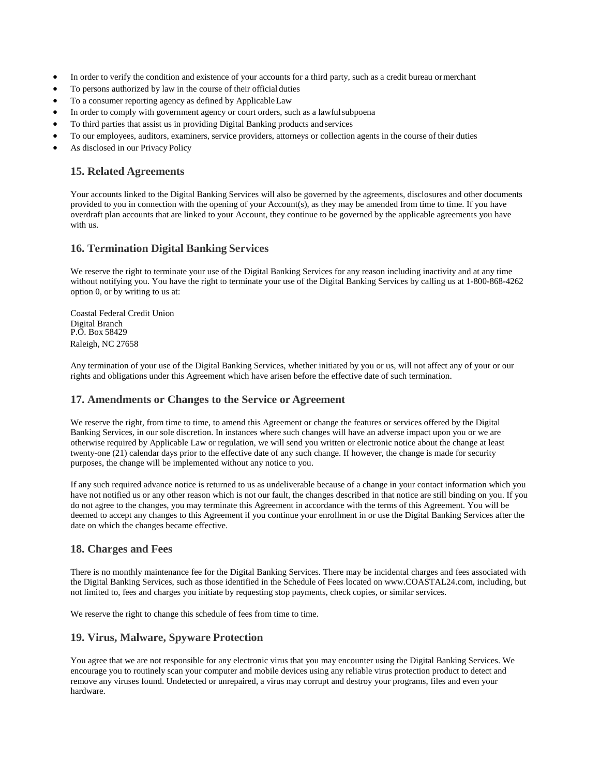- In order to verify the condition and existence of your accounts for a third party, such as a credit bureau ormerchant
- To persons authorized by law in the course of their official duties
- To a consumer reporting agency as defined by Applicable Law
- In order to comply with government agency or court orders, such as a lawful subpoena
- To third parties that assist us in providing Digital Banking products and services
- To our employees, auditors, examiners, service providers, attorneys or collection agents in the course of their duties
- As disclosed in our Privacy Policy

#### **15. Related Agreements**

Your accounts linked to the Digital Banking Services will also be governed by the agreements, disclosures and other documents provided to you in connection with the opening of your Account(s), as they may be amended from time to time. If you have overdraft plan accounts that are linked to your Account, they continue to be governed by the applicable agreements you have with us.

### **16. Termination Digital Banking Services**

We reserve the right to terminate your use of the Digital Banking Services for any reason including inactivity and at any time without notifying you. You have the right to terminate your use of the Digital Banking Services by calling us at 1-800-868-4262 option 0, or by writing to us at:

Coastal Federal Credit Union Digital Branch P.O. Box 58429 Raleigh, NC 27658

Any termination of your use of the Digital Banking Services, whether initiated by you or us, will not affect any of your or our rights and obligations under this Agreement which have arisen before the effective date of such termination.

#### **17. Amendments or Changes to the Service or Agreement**

We reserve the right, from time to time, to amend this Agreement or change the features or services offered by the Digital Banking Services, in our sole discretion. In instances where such changes will have an adverse impact upon you or we are otherwise required by Applicable Law or regulation, we will send you written or electronic notice about the change at least twenty-one (21) calendar days prior to the effective date of any such change. If however, the change is made for security purposes, the change will be implemented without any notice to you.

If any such required advance notice is returned to us as undeliverable because of a change in your contact information which you have not notified us or any other reason which is not our fault, the changes described in that notice are still binding on you. If you do not agree to the changes, you may terminate this Agreement in accordance with the terms of this Agreement. You will be deemed to accept any changes to this Agreement if you continue your enrollment in or use the Digital Banking Services after the date on which the changes became effective.

#### **18. Charges and Fees**

There is no monthly maintenance fee for the Digital Banking Services. There may be incidental charges and fees associated with the Digital Banking Services, such as those identified in the Schedule of Fees located o[n www.COASTAL24.com,](http://www.coastal24.com/) including, but not limited to, fees and charges you initiate by requesting stop payments, check copies, or similar services.

We reserve the right to change this schedule of fees from time to time.

#### **19. Virus, Malware, Spyware Protection**

You agree that we are not responsible for any electronic virus that you may encounter using the Digital Banking Services. We encourage you to routinely scan your computer and mobile devices using any reliable virus protection product to detect and remove any viruses found. Undetected or unrepaired, a virus may corrupt and destroy your programs, files and even your hardware.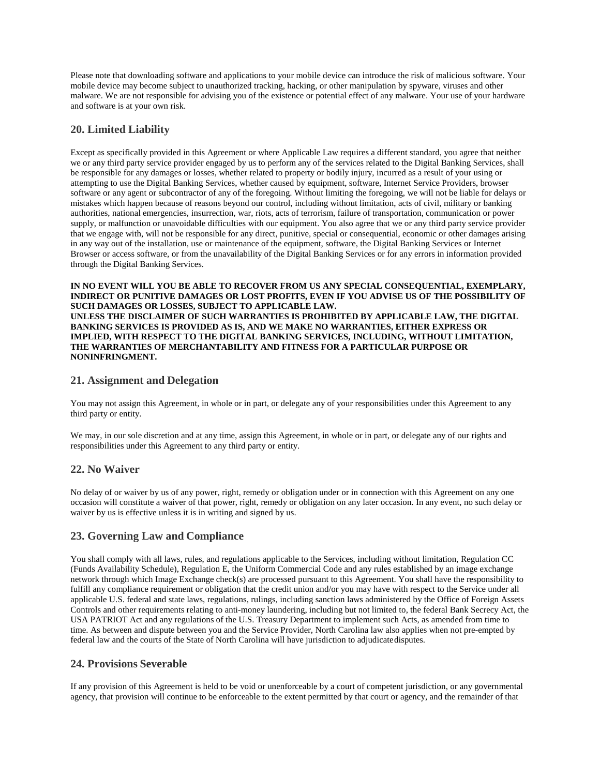Please note that downloading software and applications to your mobile device can introduce the risk of malicious software. Your mobile device may become subject to unauthorized tracking, hacking, or other manipulation by spyware, viruses and other malware. We are not responsible for advising you of the existence or potential effect of any malware. Your use of your hardware and software is at your own risk.

# **20. Limited Liability**

Except as specifically provided in this Agreement or where Applicable Law requires a different standard, you agree that neither we or any third party service provider engaged by us to perform any of the services related to the Digital Banking Services, shall be responsible for any damages or losses, whether related to property or bodily injury, incurred as a result of your using or attempting to use the Digital Banking Services, whether caused by equipment, software, Internet Service Providers, browser software or any agent or subcontractor of any of the foregoing. Without limiting the foregoing, we will not be liable for delays or mistakes which happen because of reasons beyond our control, including without limitation, acts of civil, military or banking authorities, national emergencies, insurrection, war, riots, acts of terrorism, failure of transportation, communication or power supply, or malfunction or unavoidable difficulties with our equipment. You also agree that we or any third party service provider that we engage with, will not be responsible for any direct, punitive, special or consequential, economic or other damages arising in any way out of the installation, use or maintenance of the equipment, software, the Digital Banking Services or Internet Browser or access software, or from the unavailability of the Digital Banking Services or for any errors in information provided through the Digital Banking Services.

**IN NO EVENT WILL YOU BE ABLE TO RECOVER FROM US ANY SPECIAL CONSEQUENTIAL, EXEMPLARY, INDIRECT OR PUNITIVE DAMAGES OR LOST PROFITS, EVEN IF YOU ADVISE US OF THE POSSIBILITY OF SUCH DAMAGES OR LOSSES, SUBJECT TO APPLICABLE LAW. UNLESS THE DISCLAIMER OF SUCH WARRANTIES IS PROHIBITED BY APPLICABLE LAW, THE DIGITAL BANKING SERVICES IS PROVIDED AS IS, AND WE MAKE NO WARRANTIES, EITHER EXPRESS OR IMPLIED, WITH RESPECT TO THE DIGITAL BANKING SERVICES, INCLUDING, WITHOUT LIMITATION, THE WARRANTIES OF MERCHANTABILITY AND FITNESS FOR A PARTICULAR PURPOSE OR NONINFRINGMENT.**

### **21. Assignment and Delegation**

You may not assign this Agreement, in whole or in part, or delegate any of your responsibilities under this Agreement to any third party or entity.

We may, in our sole discretion and at any time, assign this Agreement, in whole or in part, or delegate any of our rights and responsibilities under this Agreement to any third party or entity.

# **22. No Waiver**

No delay of or waiver by us of any power, right, remedy or obligation under or in connection with this Agreement on any one occasion will constitute a waiver of that power, right, remedy or obligation on any later occasion. In any event, no such delay or waiver by us is effective unless it is in writing and signed by us.

# **23. Governing Law and Compliance**

You shall comply with all laws, rules, and regulations applicable to the Services, including without limitation, Regulation CC (Funds Availability Schedule), Regulation E, the Uniform Commercial Code and any rules established by an image exchange network through which Image Exchange check(s) are processed pursuant to this Agreement. You shall have the responsibility to fulfill any compliance requirement or obligation that the credit union and/or you may have with respect to the Service under all applicable U.S. federal and state laws, regulations, rulings, including sanction laws administered by the Office of Foreign Assets Controls and other requirements relating to anti-money laundering, including but not limited to, the federal Bank Secrecy Act, the USA PATRIOT Act and any regulations of the U.S. Treasury Department to implement such Acts, as amended from time to time. As between and dispute between you and the Service Provider, North Carolina law also applies when not pre-empted by federal law and the courts of the State of North Carolina will have jurisdiction to adjudicatedisputes.

#### **24. Provisions Severable**

If any provision of this Agreement is held to be void or unenforceable by a court of competent jurisdiction, or any governmental agency, that provision will continue to be enforceable to the extent permitted by that court or agency, and the remainder of that